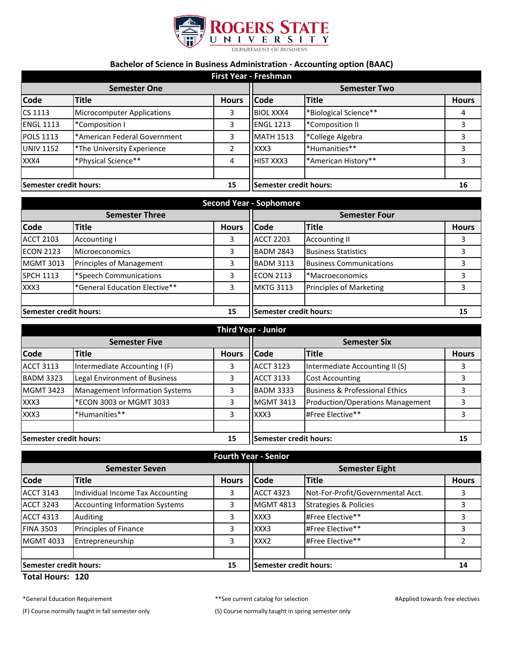

## **Bachelor of Science in Business Administration - Accounting option (BAAC)**

| <b>First Year - Freshman</b> |                                   |                        |                     |                       |              |
|------------------------------|-----------------------------------|------------------------|---------------------|-----------------------|--------------|
| <b>Semester One</b>          |                                   |                        | <b>Semester Two</b> |                       |              |
| <b>Code</b>                  | <b>Title</b>                      | <b>Hours</b>           | <b>Code</b>         | <b>Title</b>          | <b>Hours</b> |
| CS 1113                      | <b>Microcomputer Applications</b> | 3                      | <b>BIOL XXX4</b>    | *Biological Science** | 4            |
| <b>ENGL 1113</b>             | *Composition I                    | 3                      | <b>ENGL 1213</b>    | *Composition II       | 3            |
| <b>POLS 1113</b>             | *American Federal Government      | 3                      | <b>MATH 1513</b>    | *College Algebra      |              |
| <b>UNIV 1152</b>             | *The University Experience        | $\overline{2}$         | XXX3                | *Humanities**         | 3            |
| XXX4                         | *Physical Science**               | 4                      | <b>HIST XXX3</b>    | *American History**   | ς            |
|                              |                                   |                        |                     |                       |              |
| Semester credit hours:<br>15 |                                   | Semester credit hours: |                     | 16                    |              |

| <b>Second Year - Sophomore</b> |                               |              |                        |                                |              |
|--------------------------------|-------------------------------|--------------|------------------------|--------------------------------|--------------|
| <b>Semester Three</b>          |                               |              | <b>Semester Four</b>   |                                |              |
| <b>Code</b>                    | <b>Title</b>                  | <b>Hours</b> | <b>Code</b>            | <b>Title</b>                   | <b>Hours</b> |
| <b>ACCT 2103</b>               | Accounting I                  | 3            | <b>ACCT 2203</b>       | <b>Accounting II</b>           |              |
| <b>ECON 2123</b>               | <b>Microeconomics</b>         | 3            | <b>BADM 2843</b>       | <b>Business Statistics</b>     |              |
| <b>MGMT 3013</b>               | Principles of Management      | 3            | <b>BADM 3113</b>       | <b>Business Communications</b> |              |
| <b>SPCH 1113</b>               | *Speech Communications        | 3            | <b>ECON 2113</b>       | *Macroeconomics                |              |
| XXX3                           | *General Education Elective** | 3            | <b>MKTG 3113</b>       | Principles of Marketing        |              |
|                                |                               |              |                        |                                |              |
| <b>Semester credit hours:</b>  |                               | 15           | Semester credit hours: |                                | 15           |

| <b>Third Year - Junior</b> |                                       |              |                        |                                           |              |
|----------------------------|---------------------------------------|--------------|------------------------|-------------------------------------------|--------------|
| <b>Semester Five</b>       |                                       |              | <b>Semester Six</b>    |                                           |              |
| Code                       | <b>Title</b>                          | <b>Hours</b> | <b>I</b> Code          | <b>Title</b>                              | <b>Hours</b> |
| <b>ACCT 3113</b>           | Intermediate Accounting I (F)         | 3            | <b>ACCT 3123</b>       | Intermediate Accounting II (S)            |              |
| <b>BADM 3323</b>           | Legal Environment of Business         | 3            | <b>ACCT 3133</b>       | Cost Accounting                           |              |
| <b>MGMT 3423</b>           | <b>Management Information Systems</b> | 3            | <b>BADM 3333</b>       | <b>Business &amp; Professional Ethics</b> |              |
| XXX3                       | *ECON 3003 or MGMT 3033               |              | <b>MGMT 3413</b>       | Production/Operations Management          |              |
| XXX3                       | *Humanities**                         | 3            | XXX3                   | #Free Elective**                          |              |
|                            |                                       |              |                        |                                           |              |
| Semester credit hours:     |                                       | 15           | Semester credit hours: |                                           | 15           |

| <b>Fourth Year - Senior</b>         |                                       |                        |                       |                                   |              |
|-------------------------------------|---------------------------------------|------------------------|-----------------------|-----------------------------------|--------------|
| <b>Semester Seven</b>               |                                       |                        | <b>Semester Eight</b> |                                   |              |
| <b>Code</b>                         | <b>Title</b>                          | <b>Hours</b>           | <b>Code</b>           | <b>Title</b>                      | <b>Hours</b> |
| <b>ACCT 3143</b>                    | Individual Income Tax Accounting      | 3                      | <b>ACCT 4323</b>      | Not-For-Profit/Governmental Acct. |              |
| <b>ACCT 3243</b>                    | <b>Accounting Information Systems</b> | 3                      | <b>MGMT 4813</b>      | <b>Strategies &amp; Policies</b>  |              |
| <b>ACCT 4313</b>                    | Auditing                              | 3                      | XXX3                  | #Free Elective**                  |              |
| <b>FINA 3503</b>                    | Principles of Finance                 | 3                      | XXX3                  | #Free Elective**                  |              |
| <b>MGMT 4033</b>                    | Entrepreneurship                      | 3                      | XXX <sub>2</sub>      | #Free Elective**                  |              |
|                                     |                                       |                        |                       |                                   |              |
| <b>Semester credit hours:</b><br>15 |                                       | Semester credit hours: |                       | 14                                |              |

## **Total Hours: 120**

\*General Education Requirement \*\*See current catalog for selection #Applied towards free electives

(F) Course normally taught in fall semester only (S) Course normally taught in spring semester only